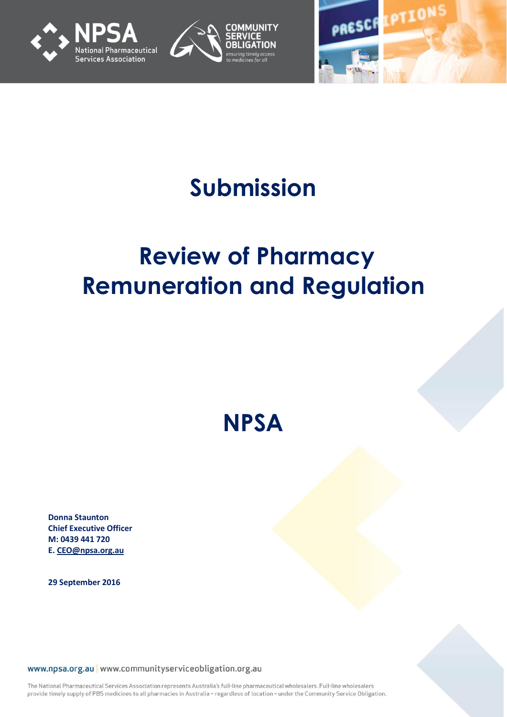





# **Submission**

# **Review of Pharmacy Remuneration and Regulation**

**NPSA**

**Donna Staunton Chief Executive Officer M: 0439 441 720 E. [CEO@npsa.org.au](mailto:CEO@npsa.org.au)**

**29 September 2016**

www.npsa.org.au www.communityserviceobligation.org.au

The National Pharmaceutical Services Association represents Australia's full-line pharmaceutical wholesalers. Full-line wholesalers provide timely supply of PBS medicines to all pharmacies in Australia - regardless of location - under the Community Service Obligation.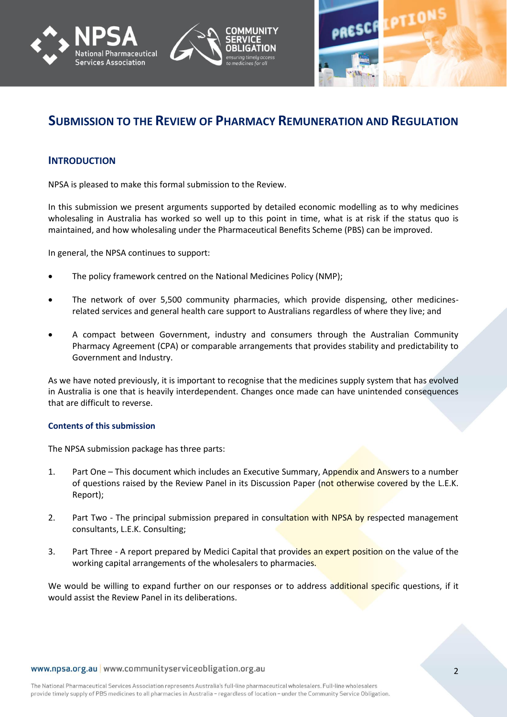





# **SUBMISSION TO THE REVIEW OF PHARMACY REMUNERATION AND REGULATION**

## **INTRODUCTION**

NPSA is pleased to make this formal submission to the Review.

In this submission we present arguments supported by detailed economic modelling as to why medicines wholesaling in Australia has worked so well up to this point in time, what is at risk if the status quo is maintained, and how wholesaling under the Pharmaceutical Benefits Scheme (PBS) can be improved.

In general, the NPSA continues to support:

- The policy framework centred on the National Medicines Policy (NMP);
- The network of over 5,500 community pharmacies, which provide dispensing, other medicinesrelated services and general health care support to Australians regardless of where they live; and
- A compact between Government, industry and consumers through the Australian Community Pharmacy Agreement (CPA) or comparable arrangements that provides stability and predictability to Government and Industry.

As we have noted previously, it is important to recognise that the medicines supply system that has evolved in Australia is one that is heavily interdependent. Changes once made can have unintended consequences that are difficult to reverse.

#### **Contents of this submission**

The NPSA submission package has three parts:

- 1. Part One This document which includes an Executive Summary, Appendix and Answers to a number of questions raised by the Review Panel in its Discussion Paper (not otherwise covered by the L.E.K. Report);
- 2. Part Two The principal submission prepared in consultation with NPSA by respected management consultants, L.E.K. Consulting;
- 3. Part Three A report prepared by Medici Capital that provides an expert position on the value of the working capital arrangements of the wholesalers to pharmacies.

We would be willing to expand further on our responses or to address additional specific questions, if it would assist the Review Panel in its deliberations.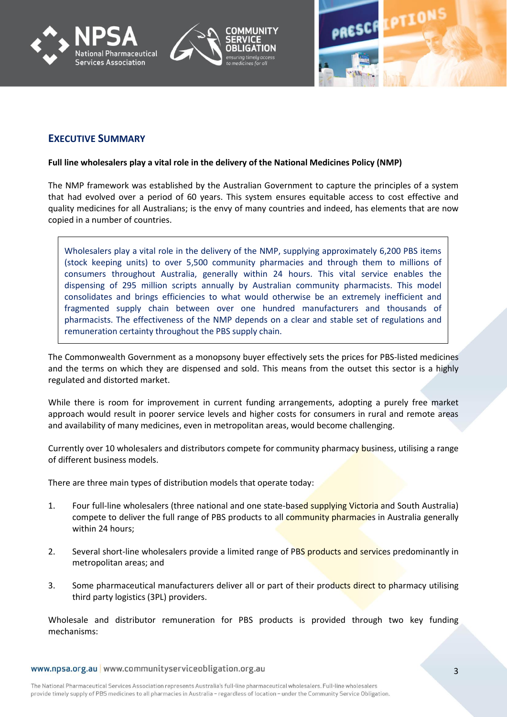





## **EXECUTIVE SUMMARY**

#### **Full line wholesalers play a vital role in the delivery of the National Medicines Policy (NMP)**

The NMP framework was established by the Australian Government to capture the principles of a system that had evolved over a period of 60 years. This system ensures equitable access to cost effective and quality medicines for all Australians; is the envy of many countries and indeed, has elements that are now copied in a number of countries.

Wholesalers play a vital role in the delivery of the NMP, supplying approximately 6,200 PBS items (stock keeping units) to over 5,500 community pharmacies and through them to millions of consumers throughout Australia, generally within 24 hours. This vital service enables the dispensing of 295 million scripts annually by Australian community pharmacists. This model consolidates and brings efficiencies to what would otherwise be an extremely inefficient and fragmented supply chain between over one hundred manufacturers and thousands of pharmacists. The effectiveness of the NMP depends on a clear and stable set of regulations and remuneration certainty throughout the PBS supply chain.

The Commonwealth Government as a monopsony buyer effectively sets the prices for PBS-listed medicines and the terms on which they are dispensed and sold. This means from the outset this sector is a highly regulated and distorted market.

While there is room for improvement in current funding arrangements, adopting a purely free market approach would result in poorer service levels and higher costs for consumers in rural and remote areas and availability of many medicines, even in metropolitan areas, would become challenging.

Currently over 10 wholesalers and distributors compete for community pharmacy business, utilising a range of different business models.

There are three main types of distribution models that operate today:

- 1. Four full-line wholesalers (three national and one state-based supplying Victoria and South Australia) compete to deliver the full range of PBS products to all community pharmacies in Australia generally within 24 hours;
- 2. Several short-line wholesalers provide a limited range of PBS products and services predominantly in metropolitan areas; and
- 3. Some pharmaceutical manufacturers deliver all or part of their products direct to pharmacy utilising third party logistics (3PL) providers.

Wholesale and distributor remuneration for PBS products is provided through two key funding mechanisms: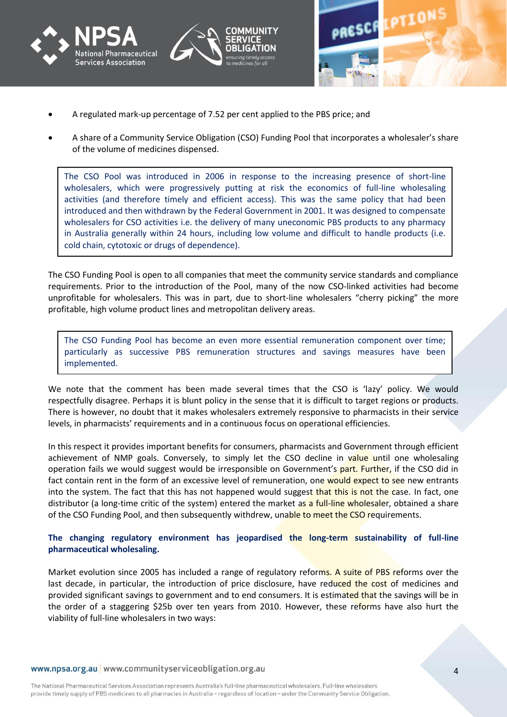





- A regulated mark-up percentage of 7.52 per cent applied to the PBS price; and
- A share of a Community Service Obligation (CSO) Funding Pool that incorporates a wholesaler's share of the volume of medicines dispensed.

The CSO Pool was introduced in 2006 in response to the increasing presence of short-line wholesalers, which were progressively putting at risk the economics of full-line wholesaling activities (and therefore timely and efficient access). This was the same policy that had been introduced and then withdrawn by the Federal Government in 2001. It was designed to compensate wholesalers for CSO activities i.e. the delivery of many uneconomic PBS products to any pharmacy in Australia generally within 24 hours, including low volume and difficult to handle products (i.e. cold chain, cytotoxic or drugs of dependence).

The CSO Funding Pool is open to all companies that meet the community service standards and compliance requirements. Prior to the introduction of the Pool, many of the now CSO-linked activities had become unprofitable for wholesalers. This was in part, due to short-line wholesalers "cherry picking" the more profitable, high volume product lines and metropolitan delivery areas.

The CSO Funding Pool has become an even more essential remuneration component over time; particularly as successive PBS remuneration structures and savings measures have been implemented.

We note that the comment has been made several times that the CSO is 'lazy' policy. We would respectfully disagree. Perhaps it is blunt policy in the sense that it is difficult to target regions or products. There is however, no doubt that it makes wholesalers extremely responsive to pharmacists in their service levels, in pharmacists' requirements and in a continuous focus on operational efficiencies.

In this respect it provides important benefits for consumers, pharmacists and Government through efficient achievement of NMP goals. Conversely, to simply let the CSO decline in value until one wholesaling operation fails we would suggest would be irresponsible on Government's part. Further, if the CSO did in fact contain rent in the form of an excessive level of remuneration, one would expect to see new entrants into the system. The fact that this has not happened would suggest that this is not the case. In fact, one distributor (a long-time critic of the system) entered the market as a full-line wholesaler, obtained a share of the CSO Funding Pool, and then subsequently withdrew, unable to meet the CSO requirements.

## **The changing regulatory environment has jeopardised the long-term sustainability of full-line pharmaceutical wholesaling.**

Market evolution since 2005 has included a range of regulatory reforms. A suite of PBS reforms over the last decade, in particular, the introduction of price disclosure, have reduced the cost of medicines and provided significant savings to government and to end consumers. It is estimated that the savings will be in the order of a staggering \$25b over ten years from 2010. However, these reforms have also hurt the viability of full-line wholesalers in two ways: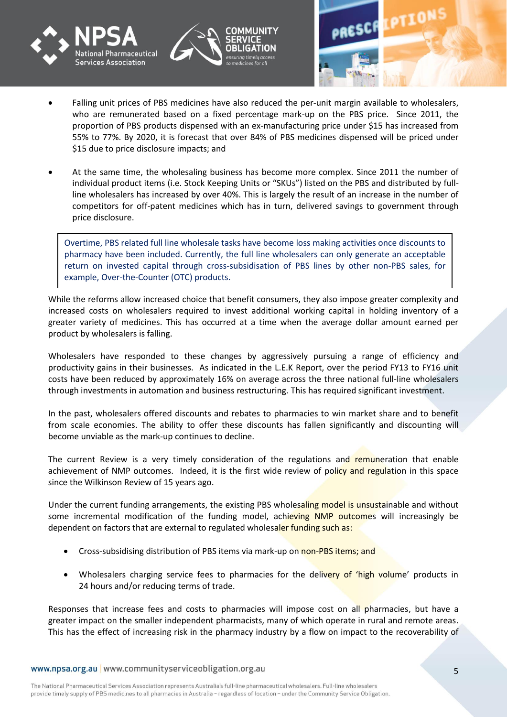





- Falling unit prices of PBS medicines have also reduced the per-unit margin available to wholesalers, who are remunerated based on a fixed percentage mark-up on the PBS price. Since 2011, the proportion of PBS products dispensed with an ex-manufacturing price under \$15 has increased from 55% to 77%. By 2020, it is forecast that over 84% of PBS medicines dispensed will be priced under \$15 due to price disclosure impacts; and
- At the same time, the wholesaling business has become more complex. Since 2011 the number of individual product items (i.e. Stock Keeping Units or "SKUs") listed on the PBS and distributed by fullline wholesalers has increased by over 40%. This is largely the result of an increase in the number of competitors for off-patent medicines which has in turn, delivered savings to government through price disclosure.

 Overtime, PBS related full line wholesale tasks have become loss making activities once discounts to pharmacy have been included. Currently, the full line wholesalers can only generate an acceptable return on invested capital through cross-subsidisation of PBS lines by other non-PBS sales, for example, Over-the-Counter (OTC) products.

While the reforms allow increased choice that benefit consumers, they also impose greater complexity and increased costs on wholesalers required to invest additional working capital in holding inventory of a greater variety of medicines. This has occurred at a time when the average dollar amount earned per product by wholesalers is falling.

Wholesalers have responded to these changes by aggressively pursuing a range of efficiency and productivity gains in their businesses. As indicated in the L.E.K Report, over the period FY13 to FY16 unit costs have been reduced by approximately 16% on average across the three national full-line wholesalers through investments in automation and business restructuring. This has required significant investment.

In the past, wholesalers offered discounts and rebates to pharmacies to win market share and to benefit from scale economies. The ability to offer these discounts has fallen significantly and discounting will become unviable as the mark-up continues to decline.

The current Review is a very timely consideration of the regulations and remuneration that enable achievement of NMP outcomes. Indeed, it is the first wide review of policy and regulation in this space since the Wilkinson Review of 15 years ago.

Under the current funding arrangements, the existing PBS wholesaling model is unsustainable and without some incremental modification of the funding model, achieving NMP outcomes will increasingly be dependent on factors that are external to regulated wholesaler funding such as:

- Cross-subsidising distribution of PBS items via mark-up on non-PBS items; and
- Wholesalers charging service fees to pharmacies for the delivery of 'high volume' products in 24 hours and/or reducing terms of trade.

Responses that increase fees and costs to pharmacies will impose cost on all pharmacies, but have a greater impact on the smaller independent pharmacists, many of which operate in rural and remote areas. This has the effect of increasing risk in the pharmacy industry by a flow on impact to the recoverability of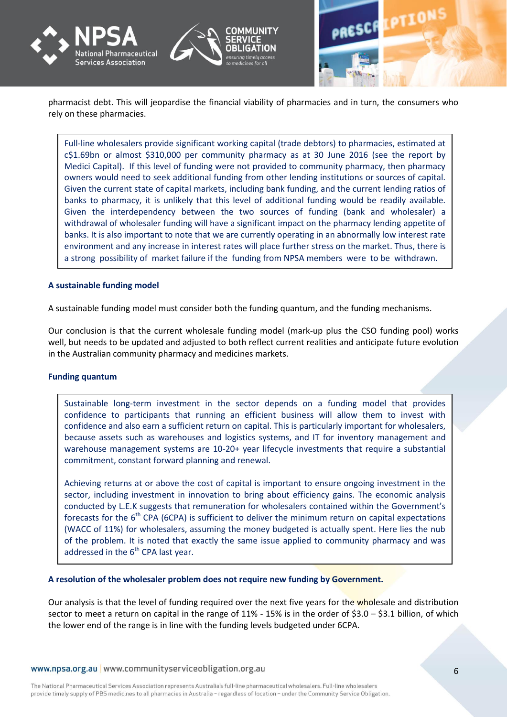



pharmacist debt. This will jeopardise the financial viability of pharmacies and in turn, the consumers who rely on these pharmacies.

Full-line wholesalers provide significant working capital (trade debtors) to pharmacies, estimated at c\$1.69bn or almost \$310,000 per community pharmacy as at 30 June 2016 (see the report by Medici Capital). If this level of funding were not provided to community pharmacy, then pharmacy owners would need to seek additional funding from other lending institutions or sources of capital. Given the current state of capital markets, including bank funding, and the current lending ratios of banks to pharmacy, it is unlikely that this level of additional funding would be readily available. Given the interdependency between the two sources of funding (bank and wholesaler) a withdrawal of wholesaler funding will have a significant impact on the pharmacy lending appetite of banks. It is also important to note that we are currently operating in an abnormally low interest rate environment and any increase in interest rates will place further stress on the market. Thus, there is a strong possibility of market failure if the funding from NPSA members were to be withdrawn.

#### **A sustainable funding model**

A sustainable funding model must consider both the funding quantum, and the funding mechanisms.

Our conclusion is that the current wholesale funding model (mark-up plus the CSO funding pool) works well, but needs to be updated and adjusted to both reflect current realities and anticipate future evolution in the Australian community pharmacy and medicines markets.

#### **Funding quantum**

Sustainable long-term investment in the sector depends on a funding model that provides confidence to participants that running an efficient business will allow them to invest with confidence and also earn a sufficient return on capital. This is particularly important for wholesalers, because assets such as warehouses and logistics systems, and IT for inventory management and warehouse management systems are 10-20+ year lifecycle investments that require a substantial commitment, constant forward planning and renewal.

Achieving returns at or above the cost of capital is important to ensure ongoing investment in the sector, including investment in innovation to bring about efficiency gains. The economic analysis conducted by L.E.K suggests that remuneration for wholesalers contained within the Government's forecasts for the  $6<sup>th</sup>$  CPA (6CPA) is sufficient to deliver the minimum return on capital expectations (WACC of 11%) for wholesalers, assuming the money budgeted is actually spent. Here lies the nub of the problem. It is noted that exactly the same issue applied to community pharmacy and was addressed in the  $6<sup>th</sup>$  CPA last year.

**A resolution of the wholesaler problem does not require new funding by Government.** 

Our analysis is that the level of funding required over the next five years for the wholesale and distribution sector to meet a return on capital in the range of 11% - 15% is in the order of \$3.0 – \$3.1 billion, of which the lower end of the range is in line with the funding levels budgeted under 6CPA.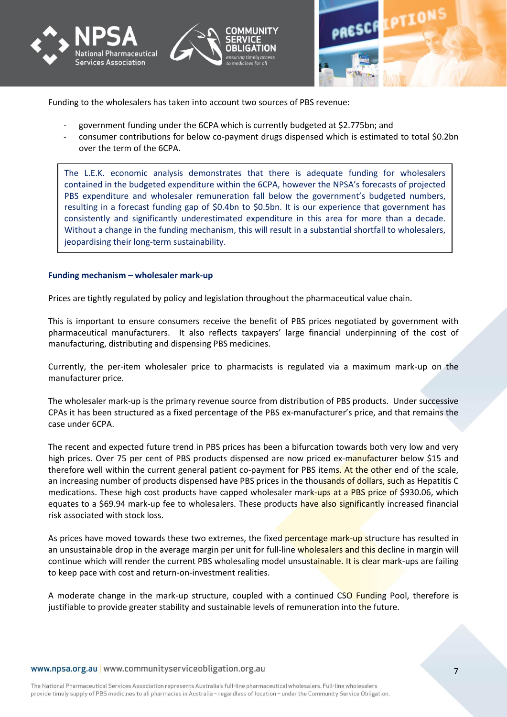





Funding to the wholesalers has taken into account two sources of PBS revenue:

- government funding under the 6CPA which is currently budgeted at \$2.775bn; and
- consumer contributions for below co-payment drugs dispensed which is estimated to total \$0.2bn over the term of the 6CPA.

 The L.E.K. economic analysis demonstrates that there is adequate funding for wholesalers contained in the budgeted expenditure within the 6CPA, however the NPSA's forecasts of projected PBS expenditure and wholesaler remuneration fall below the government's budgeted numbers, resulting in a forecast funding gap of \$0.4bn to \$0.5bn. It is our experience that government has consistently and significantly underestimated expenditure in this area for more than a decade. Without a change in the funding mechanism, this will result in a substantial shortfall to wholesalers, jeopardising their long-term sustainability.

#### **Funding mechanism – wholesaler mark-up**

Prices are tightly regulated by policy and legislation throughout the pharmaceutical value chain.

This is important to ensure consumers receive the benefit of PBS prices negotiated by government with pharmaceutical manufacturers. It also reflects taxpayers' large financial underpinning of the cost of manufacturing, distributing and dispensing PBS medicines.

Currently, the per-item wholesaler price to pharmacists is regulated via a maximum mark-up on the manufacturer price.

The wholesaler mark-up is the primary revenue source from distribution of PBS products. Under successive CPAs it has been structured as a fixed percentage of the PBS ex-manufacturer's price, and that remains the case under 6CPA.

The recent and expected future trend in PBS prices has been a bifurcation towards both very low and very high prices. Over 75 per cent of PBS products dispensed are now priced ex-manufacturer below \$15 and therefore well within the current general patient co-payment for PBS items. At the other end of the scale, an increasing number of products dispensed have PBS prices in the thousands of dollars, such as Hepatitis C medications. These high cost products have capped wholesaler mark-ups at a PBS price of \$930.06, which equates to a \$69.94 mark-up fee to wholesalers. These products have also significantly increased financial risk associated with stock loss.

As prices have moved towards these two extremes, the fixed percentage mark-up structure has resulted in an unsustainable drop in the average margin per unit for full-line wholesalers and this decline in margin will continue which will render the current PBS wholesaling model unsustainable. It is clear mark-ups are failing to keep pace with cost and return-on-investment realities.

A moderate change in the mark-up structure, coupled with a continued CSO Funding Pool, therefore is justifiable to provide greater stability and sustainable levels of remuneration into the future.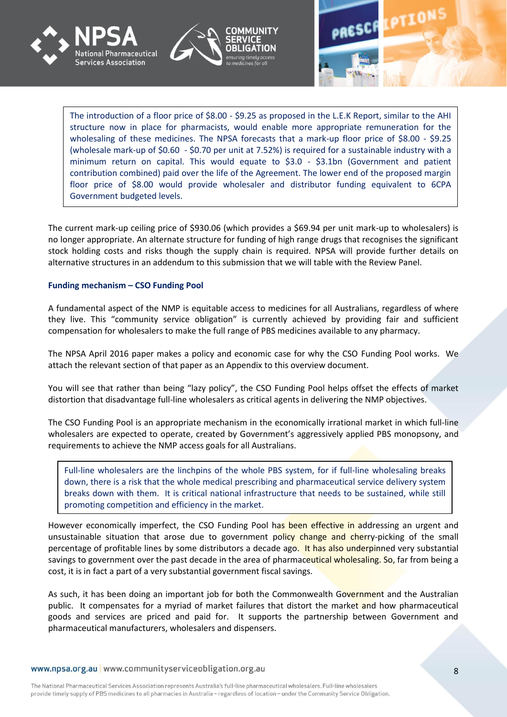





The introduction of a floor price of \$8.00 - \$9.25 as proposed in the L.E.K Report, similar to the AHI structure now in place for pharmacists, would enable more appropriate remuneration for the wholesaling of these medicines. The NPSA forecasts that a mark-up floor price of \$8.00 - \$9.25 (wholesale mark-up of \$0.60 - \$0.70 per unit at 7.52%) is required for a sustainable industry with a minimum return on capital. This would equate to \$3.0 - \$3.1bn (Government and patient contribution combined) paid over the life of the Agreement. The lower end of the proposed margin floor price of \$8.00 would provide wholesaler and distributor funding equivalent to 6CPA Government budgeted levels.

The current mark-up ceiling price of \$930.06 (which provides a \$69.94 per unit mark-up to wholesalers) is no longer appropriate. An alternate structure for funding of high range drugs that recognises the significant stock holding costs and risks though the supply chain is required. NPSA will provide further details on alternative structures in an addendum to this submission that we will table with the Review Panel.

#### **Funding mechanism – CSO Funding Pool**

A fundamental aspect of the NMP is equitable access to medicines for all Australians, regardless of where they live. This "community service obligation" is currently achieved by providing fair and sufficient compensation for wholesalers to make the full range of PBS medicines available to any pharmacy.

The NPSA April 2016 paper makes a policy and economic case for why the CSO Funding Pool works. We attach the relevant section of that paper as an Appendix to this overview document.

You will see that rather than being "lazy policy", the CSO Funding Pool helps offset the effects of market distortion that disadvantage full-line wholesalers as critical agents in delivering the NMP objectives.

The CSO Funding Pool is an appropriate mechanism in the economically irrational market in which full-line wholesalers are expected to operate, created by Government's aggressively applied PBS monopsony, and requirements to achieve the NMP access goals for all Australians.

Full-line wholesalers are the linchpins of the whole PBS system, for if full-line wholesaling breaks down, there is a risk that the whole medical prescribing and pharmaceutical service delivery system breaks down with them. It is critical national infrastructure that needs to be sustained, while still promoting competition and efficiency in the market.

However economically imperfect, the CSO Funding Pool has been effective in addressing an urgent and unsustainable situation that arose due to government policy change and cherry-picking of the small percentage of profitable lines by some distributors a decade ago. It has also underpinned very substantial savings to government over the past decade in the area of pharmaceutical wholesaling. So, far from being a cost, it is in fact a part of a very substantial government fiscal savings.

As such, it has been doing an important job for both the Commonwealth Government and the Australian public. It compensates for a myriad of market failures that distort the market and how pharmaceutical goods and services are priced and paid for. It supports the partnership between Government and pharmaceutical manufacturers, wholesalers and dispensers.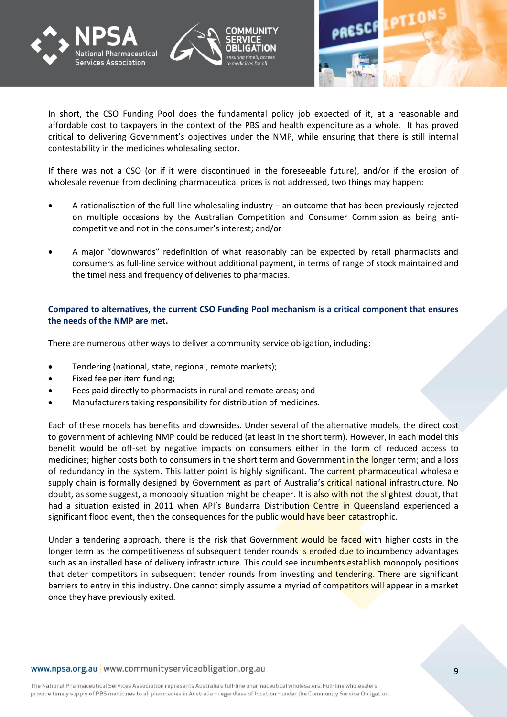





In short, the CSO Funding Pool does the fundamental policy job expected of it, at a reasonable and affordable cost to taxpayers in the context of the PBS and health expenditure as a whole. It has proved critical to delivering Government's objectives under the NMP, while ensuring that there is still internal contestability in the medicines wholesaling sector.

If there was not a CSO (or if it were discontinued in the foreseeable future), and/or if the erosion of wholesale revenue from declining pharmaceutical prices is not addressed, two things may happen:

- A rationalisation of the full-line wholesaling industry an outcome that has been previously rejected on multiple occasions by the Australian Competition and Consumer Commission as being anticompetitive and not in the consumer's interest; and/or
- A major "downwards" redefinition of what reasonably can be expected by retail pharmacists and consumers as full-line service without additional payment, in terms of range of stock maintained and the timeliness and frequency of deliveries to pharmacies.

## **Compared to alternatives, the current CSO Funding Pool mechanism is a critical component that ensures the needs of the NMP are met.**

There are numerous other ways to deliver a community service obligation, including:

- Tendering (national, state, regional, remote markets);
- Fixed fee per item funding;
- Fees paid directly to pharmacists in rural and remote areas; and
- Manufacturers taking responsibility for distribution of medicines.

Each of these models has benefits and downsides. Under several of the alternative models, the direct cost to government of achieving NMP could be reduced (at least in the short term). However, in each model this benefit would be off-set by negative impacts on consumers either in the form of reduced access to medicines; higher costs both to consumers in the short term and Government in the longer term; and a loss of redundancy in the system. This latter point is highly significant. The current pharmaceutical wholesale supply chain is formally designed by Government as part of Australia's critical national infrastructure. No doubt, as some suggest, a monopoly situation might be cheaper. It is also with not the slightest doubt, that had a situation existed in 2011 when API's Bundarra Distribution Centre in Queensland experienced a significant flood event, then the consequences for the public would have been catastrophic.

Under a tendering approach, there is the risk that Government would be faced with higher costs in the longer term as the competitiveness of subsequent tender rounds is eroded due to incumbency advantages such as an installed base of delivery infrastructure. This could see incumbents establish monopoly positions that deter competitors in subsequent tender rounds from investing and tendering. There are significant barriers to entry in this industry. One cannot simply assume a myriad of competitors will appear in a market once they have previously exited.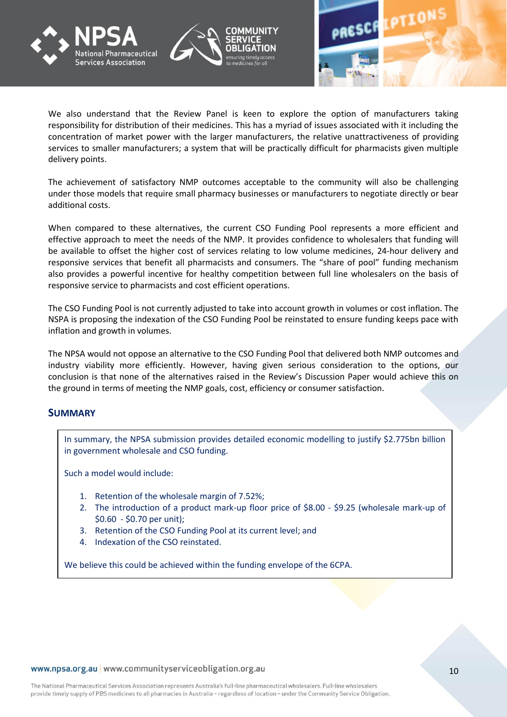





We also understand that the Review Panel is keen to explore the option of manufacturers taking responsibility for distribution of their medicines. This has a myriad of issues associated with it including the concentration of market power with the larger manufacturers, the relative unattractiveness of providing services to smaller manufacturers; a system that will be practically difficult for pharmacists given multiple delivery points.

The achievement of satisfactory NMP outcomes acceptable to the community will also be challenging under those models that require small pharmacy businesses or manufacturers to negotiate directly or bear additional costs.

When compared to these alternatives, the current CSO Funding Pool represents a more efficient and effective approach to meet the needs of the NMP. It provides confidence to wholesalers that funding will be available to offset the higher cost of services relating to low volume medicines, 24-hour delivery and responsive services that benefit all pharmacists and consumers. The "share of pool" funding mechanism also provides a powerful incentive for healthy competition between full line wholesalers on the basis of responsive service to pharmacists and cost efficient operations.

The CSO Funding Pool is not currently adjusted to take into account growth in volumes or cost inflation. The NSPA is proposing the indexation of the CSO Funding Pool be reinstated to ensure funding keeps pace with inflation and growth in volumes.

The NPSA would not oppose an alternative to the CSO Funding Pool that delivered both NMP outcomes and industry viability more efficiently. However, having given serious consideration to the options, our conclusion is that none of the alternatives raised in the Review's Discussion Paper would achieve this on the ground in terms of meeting the NMP goals, cost, efficiency or consumer satisfaction.

## **SUMMARY**

In summary, the NPSA submission provides detailed economic modelling to justify \$2.775bn billion in government wholesale and CSO funding.

Such a model would include:

- 1. Retention of the wholesale margin of 7.52%;
- 2. The introduction of a product mark-up floor price of \$8.00 \$9.25 (wholesale mark-up of \$0.60 - \$0.70 per unit);
- 3. Retention of the CSO Funding Pool at its current level; and
- 4. Indexation of the CSO reinstated.

We believe this could be achieved within the funding envelope of the 6CPA.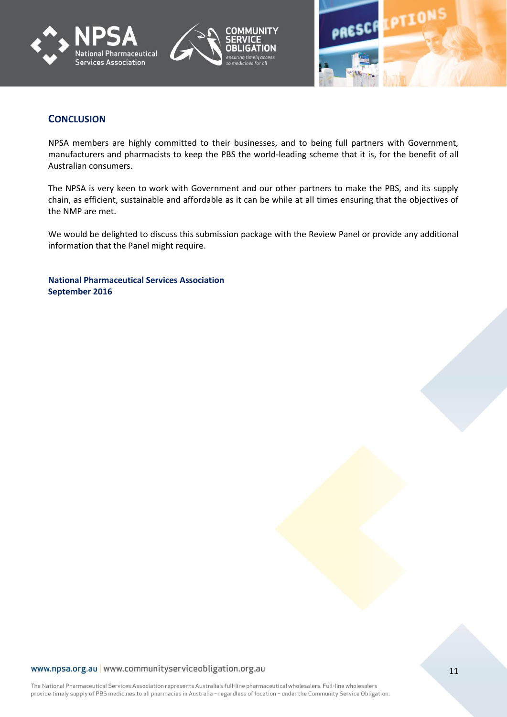





## **CONCLUSION**

NPSA members are highly committed to their businesses, and to being full partners with Government, manufacturers and pharmacists to keep the PBS the world-leading scheme that it is, for the benefit of all Australian consumers.

The NPSA is very keen to work with Government and our other partners to make the PBS, and its supply chain, as efficient, sustainable and affordable as it can be while at all times ensuring that the objectives of the NMP are met.

We would be delighted to discuss this submission package with the Review Panel or provide any additional information that the Panel might require.

**National Pharmaceutical Services Association September 2016**

#### www.npsa.org.au www.communityserviceobligation.org.au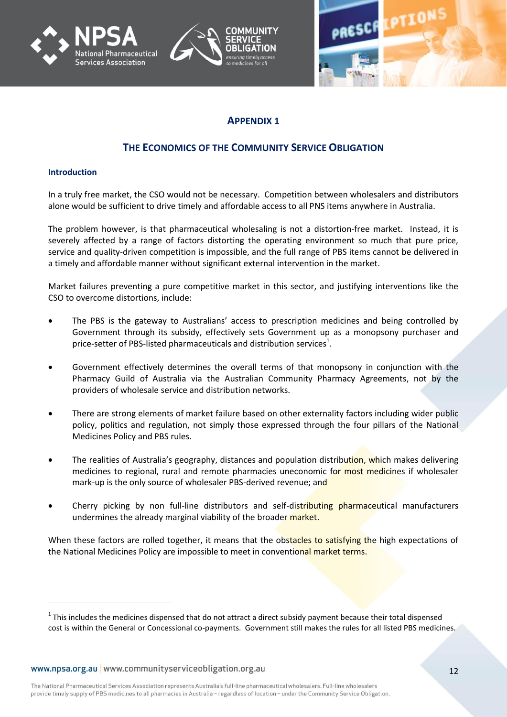





## **APPENDIX 1**

## **THE ECONOMICS OF THE COMMUNITY SERVICE OBLIGATION**

#### **Introduction**

-

In a truly free market, the CSO would not be necessary. Competition between wholesalers and distributors alone would be sufficient to drive timely and affordable access to all PNS items anywhere in Australia.

The problem however, is that pharmaceutical wholesaling is not a distortion-free market. Instead, it is severely affected by a range of factors distorting the operating environment so much that pure price, service and quality-driven competition is impossible, and the full range of PBS items cannot be delivered in a timely and affordable manner without significant external intervention in the market.

Market failures preventing a pure competitive market in this sector, and justifying interventions like the CSO to overcome distortions, include:

- The PBS is the gateway to Australians' access to prescription medicines and being controlled by Government through its subsidy, effectively sets Government up as a monopsony purchaser and price-setter of PBS-listed pharmaceuticals and distribution services<sup>1</sup>.
- Government effectively determines the overall terms of that monopsony in conjunction with the Pharmacy Guild of Australia via the Australian Community Pharmacy Agreements, not by the providers of wholesale service and distribution networks.
- There are strong elements of market failure based on other externality factors including wider public policy, politics and regulation, not simply those expressed through the four pillars of the National Medicines Policy and PBS rules.
- The realities of Australia's geography, distances and population distribution, which makes delivering medicines to regional, rural and remote pharmacies uneconomic for most medicines if wholesaler mark-up is the only source of wholesaler PBS-derived revenue; and
- Cherry picking by non full-line distributors and self-distributing pharmaceutical manufacturers undermines the already marginal viability of the broader market.

When these factors are rolled together, it means that the obstacles to satisfying the high expectations of the National Medicines Policy are impossible to meet in conventional market terms.

 $1$  This includes the medicines dispensed that do not attract a direct subsidy payment because their total dispensed cost is within the General or Concessional co-payments. Government still makes the rules for all listed PBS medicines.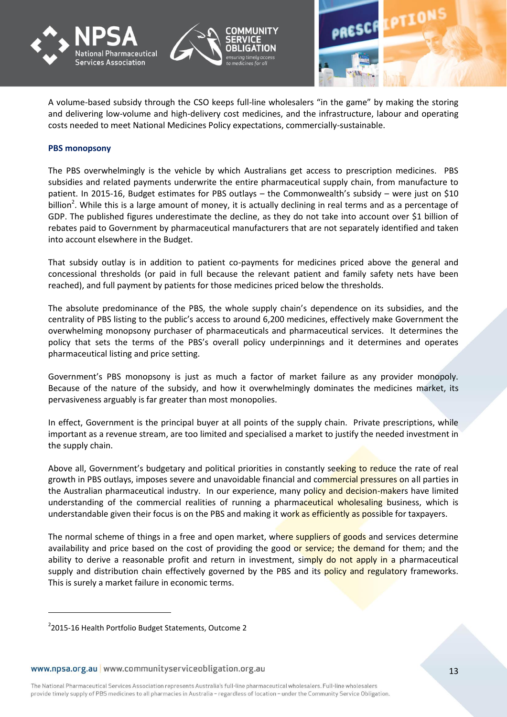





A volume-based subsidy through the CSO keeps full-line wholesalers "in the game" by making the storing and delivering low-volume and high-delivery cost medicines, and the infrastructure, labour and operating costs needed to meet National Medicines Policy expectations, commercially-sustainable.

#### **PBS monopsony**

The PBS overwhelmingly is the vehicle by which Australians get access to prescription medicines. PBS subsidies and related payments underwrite the entire pharmaceutical supply chain, from manufacture to patient. In 2015-16, Budget estimates for PBS outlays – the Commonwealth's subsidy – were just on \$10 billion<sup>2</sup>. While this is a large amount of money, it is actually declining in real terms and as a percentage of GDP. The published figures underestimate the decline, as they do not take into account over \$1 billion of rebates paid to Government by pharmaceutical manufacturers that are not separately identified and taken into account elsewhere in the Budget.

That subsidy outlay is in addition to patient co-payments for medicines priced above the general and concessional thresholds (or paid in full because the relevant patient and family safety nets have been reached), and full payment by patients for those medicines priced below the thresholds.

The absolute predominance of the PBS, the whole supply chain's dependence on its subsidies, and the centrality of PBS listing to the public's access to around 6,200 medicines, effectively make Government the overwhelming monopsony purchaser of pharmaceuticals and pharmaceutical services. It determines the policy that sets the terms of the PBS's overall policy underpinnings and it determines and operates pharmaceutical listing and price setting.

Government's PBS monopsony is just as much a factor of market failure as any provider monopoly. Because of the nature of the subsidy, and how it overwhelmingly dominates the medicines market, its pervasiveness arguably is far greater than most monopolies.

In effect, Government is the principal buyer at all points of the supply chain. Private prescriptions, while important as a revenue stream, are too limited and specialised a market to justify the needed investment in the supply chain.

Above all, Government's budgetary and political priorities in constantly seeking to reduce the rate of real growth in PBS outlays, imposes severe and unavoidable financial and commercial pressures on all parties in the Australian pharmaceutical industry. In our experience, many policy and decision-makers have limited understanding of the commercial realities of running a pharmaceutical wholesaling business, which is understandable given their focus is on the PBS and making it work as efficiently as possible for taxpayers.

The normal scheme of things in a free and open market, where suppliers of goods and services determine availability and price based on the cost of providing the good or service; the demand for them; and the ability to derive a reasonable profit and return in investment, simply do not apply in a pharmaceutical supply and distribution chain effectively governed by the PBS and its policy and regulatory frameworks. This is surely a market failure in economic terms.

-

<sup>&</sup>lt;sup>2</sup>2015-16 Health Portfolio Budget Statements, Outcome 2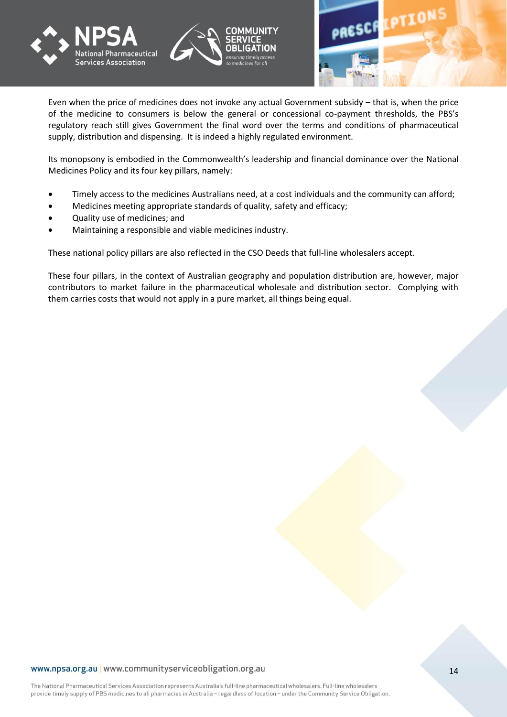

Even when the price of medicines does not invoke any actual Government subsidy – that is, when the price of the medicine to consumers is below the general or concessional co-payment thresholds, the PBS's regulatory reach still gives Government the final word over the terms and conditions of pharmaceutical supply, distribution and dispensing. It is indeed a highly regulated environment.

Its monopsony is embodied in the Commonwealth's leadership and financial dominance over the National Medicines Policy and its four key pillars, namely:

- Timely access to the medicines Australians need, at a cost individuals and the community can afford;
- Medicines meeting appropriate standards of quality, safety and efficacy;
- Quality use of medicines; and
- Maintaining a responsible and viable medicines industry.

These national policy pillars are also reflected in the CSO Deeds that full-line wholesalers accept.

These four pillars, in the context of Australian geography and population distribution are, however, major contributors to market failure in the pharmaceutical wholesale and distribution sector. Complying with them carries costs that would not apply in a pure market, all things being equal.

#### www.npsa.org.au | www.communityserviceobligation.org.au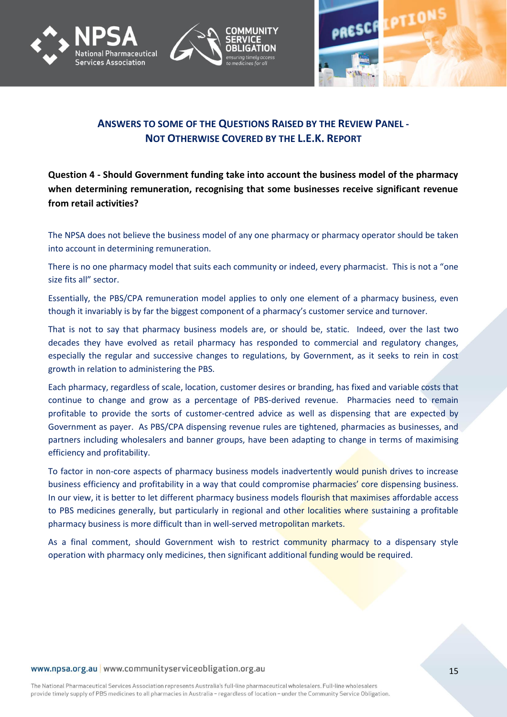





## **ANSWERS TO SOME OF THE QUESTIONS RAISED BY THE REVIEW PANEL - NOT OTHERWISE COVERED BY THE L.E.K. REPORT**

**Question 4 - Should Government funding take into account the business model of the pharmacy when determining remuneration, recognising that some businesses receive significant revenue from retail activities?**

The NPSA does not believe the business model of any one pharmacy or pharmacy operator should be taken into account in determining remuneration.

There is no one pharmacy model that suits each community or indeed, every pharmacist. This is not a "one size fits all" sector.

Essentially, the PBS/CPA remuneration model applies to only one element of a pharmacy business, even though it invariably is by far the biggest component of a pharmacy's customer service and turnover.

That is not to say that pharmacy business models are, or should be, static. Indeed, over the last two decades they have evolved as retail pharmacy has responded to commercial and regulatory changes, especially the regular and successive changes to regulations, by Government, as it seeks to rein in cost growth in relation to administering the PBS.

Each pharmacy, regardless of scale, location, customer desires or branding, has fixed and variable costs that continue to change and grow as a percentage of PBS-derived revenue. Pharmacies need to remain profitable to provide the sorts of customer-centred advice as well as dispensing that are expected by Government as payer. As PBS/CPA dispensing revenue rules are tightened, pharmacies as businesses, and partners including wholesalers and banner groups, have been adapting to change in terms of maximising efficiency and profitability.

To factor in non-core aspects of pharmacy business models inadvertently would punish drives to increase business efficiency and profitability in a way that could compromise pharmacies' core dispensing business. In our view, it is better to let different pharmacy business models flourish that maximises affordable access to PBS medicines generally, but particularly in regional and other localities where sustaining a profitable pharmacy business is more difficult than in well-served metropolitan markets.

As a final comment, should Government wish to restrict community pharmacy to a dispensary style operation with pharmacy only medicines, then significant additional funding would be required.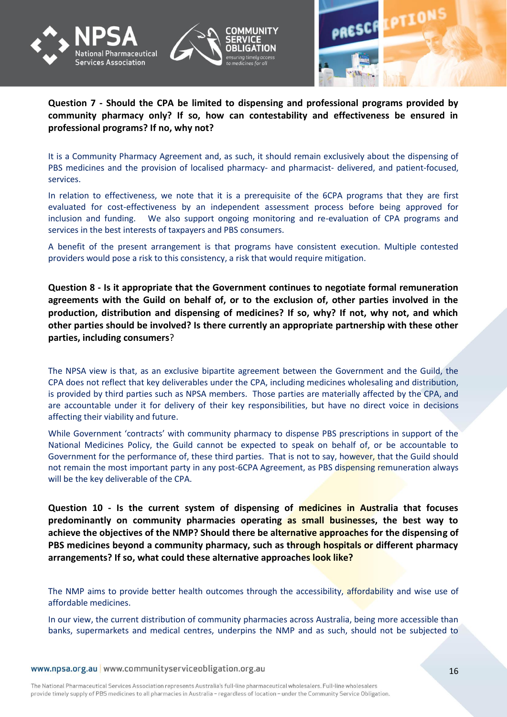



## **Question 7 - Should the CPA be limited to dispensing and professional programs provided by community pharmacy only? If so, how can contestability and effectiveness be ensured in professional programs? If no, why not?**

It is a Community Pharmacy Agreement and, as such, it should remain exclusively about the dispensing of PBS medicines and the provision of localised pharmacy- and pharmacist- delivered, and patient-focused, services.

In relation to effectiveness, we note that it is a prerequisite of the 6CPA programs that they are first evaluated for cost-effectiveness by an independent assessment process before being approved for inclusion and funding. We also support ongoing monitoring and re-evaluation of CPA programs and services in the best interests of taxpayers and PBS consumers.

A benefit of the present arrangement is that programs have consistent execution. Multiple contested providers would pose a risk to this consistency, a risk that would require mitigation.

**Question 8 - Is it appropriate that the Government continues to negotiate formal remuneration agreements with the Guild on behalf of, or to the exclusion of, other parties involved in the production, distribution and dispensing of medicines? If so, why? If not, why not, and which other parties should be involved? Is there currently an appropriate partnership with these other parties, including consumers**?

The NPSA view is that, as an exclusive bipartite agreement between the Government and the Guild, the CPA does not reflect that key deliverables under the CPA, including medicines wholesaling and distribution, is provided by third parties such as NPSA members. Those parties are materially affected by the CPA, and are accountable under it for delivery of their key responsibilities, but have no direct voice in decisions affecting their viability and future.

While Government 'contracts' with community pharmacy to dispense PBS prescriptions in support of the National Medicines Policy, the Guild cannot be expected to speak on behalf of, or be accountable to Government for the performance of, these third parties. That is not to say, however, that the Guild should not remain the most important party in any post-6CPA Agreement, as PBS dispensing remuneration always will be the key deliverable of the CPA.

**Question 10 - Is the current system of dispensing of medicines in Australia that focuses predominantly on community pharmacies operating as small businesses, the best way to achieve the objectives of the NMP? Should there be alternative approaches for the dispensing of PBS medicines beyond a community pharmacy, such as through hospitals or different pharmacy arrangements? If so, what could these alternative approaches look like?**

The NMP aims to provide better health outcomes through the accessibility, affordability and wise use of affordable medicines.

In our view, the current distribution of community pharmacies across Australia, being more accessible than banks, supermarkets and medical centres, underpins the NMP and as such, should not be subjected to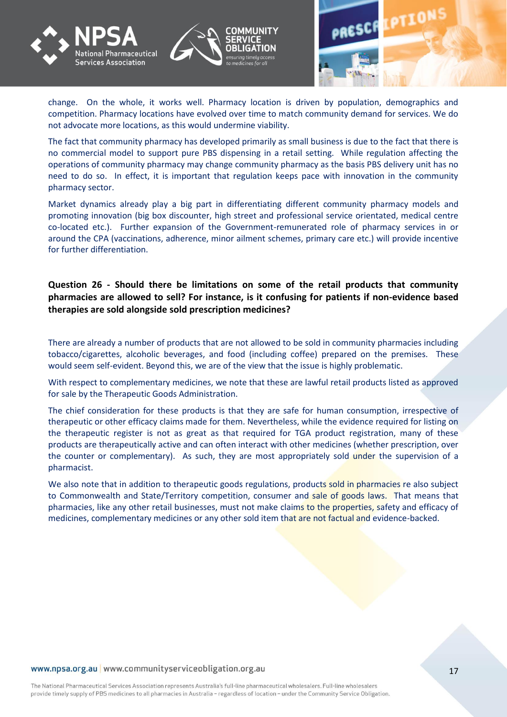





change. On the whole, it works well. Pharmacy location is driven by population, demographics and competition. Pharmacy locations have evolved over time to match community demand for services. We do not advocate more locations, as this would undermine viability.

The fact that community pharmacy has developed primarily as small business is due to the fact that there is no commercial model to support pure PBS dispensing in a retail setting. While regulation affecting the operations of community pharmacy may change community pharmacy as the basis PBS delivery unit has no need to do so. In effect, it is important that regulation keeps pace with innovation in the community pharmacy sector.

Market dynamics already play a big part in differentiating different community pharmacy models and promoting innovation (big box discounter, high street and professional service orientated, medical centre co-located etc.). Further expansion of the Government-remunerated role of pharmacy services in or around the CPA (vaccinations, adherence, minor ailment schemes, primary care etc.) will provide incentive for further differentiation.

**Question 26 - Should there be limitations on some of the retail products that community pharmacies are allowed to sell? For instance, is it confusing for patients if non-evidence based therapies are sold alongside sold prescription medicines?**

There are already a number of products that are not allowed to be sold in community pharmacies including tobacco/cigarettes, alcoholic beverages, and food (including coffee) prepared on the premises. These would seem self-evident. Beyond this, we are of the view that the issue is highly problematic.

With respect to complementary medicines, we note that these are lawful retail products listed as approved for sale by the Therapeutic Goods Administration.

The chief consideration for these products is that they are safe for human consumption, irrespective of therapeutic or other efficacy claims made for them. Nevertheless, while the evidence required for listing on the therapeutic register is not as great as that required for TGA product registration, many of these products are therapeutically active and can often interact with other medicines (whether prescription, over the counter or complementary). As such, they are most appropriately sold under the supervision of a pharmacist.

We also note that in addition to therapeutic goods regulations, products sold in pharmacies re also subject to Commonwealth and State/Territory competition, consumer and sale of goods laws. That means that pharmacies, like any other retail businesses, must not make claims to the properties, safety and efficacy of medicines, complementary medicines or any other sold item that are not factual and evidence-backed.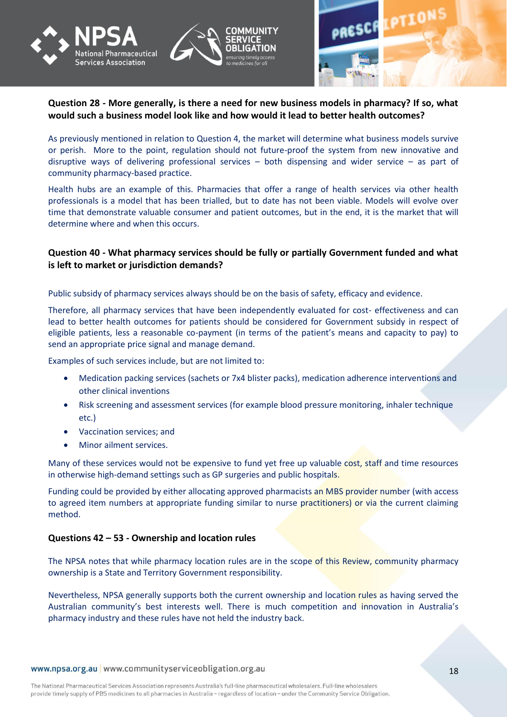



## **Question 28 - More generally, is there a need for new business models in pharmacy? If so, what would such a business model look like and how would it lead to better health outcomes?**

As previously mentioned in relation to Question 4, the market will determine what business models survive or perish. More to the point, regulation should not future-proof the system from new innovative and disruptive ways of delivering professional services – both dispensing and wider service – as part of community pharmacy-based practice.

Health hubs are an example of this. Pharmacies that offer a range of health services via other health professionals is a model that has been trialled, but to date has not been viable. Models will evolve over time that demonstrate valuable consumer and patient outcomes, but in the end, it is the market that will determine where and when this occurs.

## **Question 40 - What pharmacy services should be fully or partially Government funded and what is left to market or jurisdiction demands?**

Public subsidy of pharmacy services always should be on the basis of safety, efficacy and evidence.

Therefore, all pharmacy services that have been independently evaluated for cost- effectiveness and can lead to better health outcomes for patients should be considered for Government subsidy in respect of eligible patients, less a reasonable co-payment (in terms of the patient's means and capacity to pay) to send an appropriate price signal and manage demand.

Examples of such services include, but are not limited to:

- Medication packing services (sachets or 7x4 blister packs), medication adherence interventions and other clinical inventions
- Risk screening and assessment services (for example blood pressure monitoring, inhaler technique etc.)
- Vaccination services; and
- Minor ailment services.

Many of these services would not be expensive to fund yet free up valuable cost, staff and time resources in otherwise high-demand settings such as GP surgeries and public hospitals.

Funding could be provided by either allocating approved pharmacists an MBS provider number (with access to agreed item numbers at appropriate funding similar to nurse practitioners) or via the current claiming method.

## **Questions 42 – 53 - Ownership and location rules**

The NPSA notes that while pharmacy location rules are in the scope of this Review, community pharmacy ownership is a State and Territory Government responsibility.

Nevertheless, NPSA generally supports both the current ownership and location rules as having served the Australian community's best interests well. There is much competition and innovation in Australia's pharmacy industry and these rules have not held the industry back.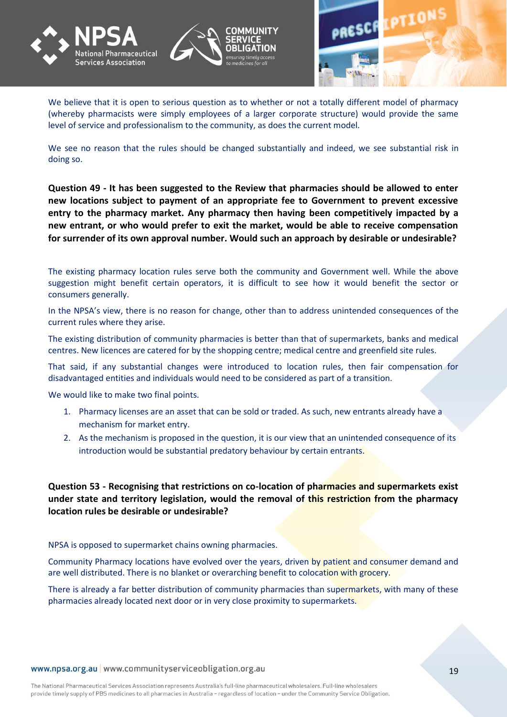





We believe that it is open to serious question as to whether or not a totally different model of pharmacy (whereby pharmacists were simply employees of a larger corporate structure) would provide the same level of service and professionalism to the community, as does the current model.

We see no reason that the rules should be changed substantially and indeed, we see substantial risk in doing so.

**Question 49 - It has been suggested to the Review that pharmacies should be allowed to enter new locations subject to payment of an appropriate fee to Government to prevent excessive entry to the pharmacy market. Any pharmacy then having been competitively impacted by a new entrant, or who would prefer to exit the market, would be able to receive compensation**  for surrender of its own approval number. Would such an approach by desirable or undesirable?

The existing pharmacy location rules serve both the community and Government well. While the above suggestion might benefit certain operators, it is difficult to see how it would benefit the sector or consumers generally.

In the NPSA's view, there is no reason for change, other than to address unintended consequences of the current rules where they arise.

The existing distribution of community pharmacies is better than that of supermarkets, banks and medical centres. New licences are catered for by the shopping centre; medical centre and greenfield site rules.

That said, if any substantial changes were introduced to location rules, then fair compensation for disadvantaged entities and individuals would need to be considered as part of a transition.

We would like to make two final points.

- 1. Pharmacy licenses are an asset that can be sold or traded. As such, new entrants already have a mechanism for market entry.
- 2. As the mechanism is proposed in the question, it is our view that an unintended consequence of its introduction would be substantial predatory behaviour by certain entrants.

**Question 53 - Recognising that restrictions on co-location of pharmacies and supermarkets exist under state and territory legislation, would the removal of this restriction from the pharmacy location rules be desirable or undesirable?**

NPSA is opposed to supermarket chains owning pharmacies.

Community Pharmacy locations have evolved over the years, driven by patient and consumer demand and are well distributed. There is no blanket or overarching benefit to colocation with grocery.

There is already a far better distribution of community pharmacies than supermarkets, with many of these pharmacies already located next door or in very close proximity to supermarkets.